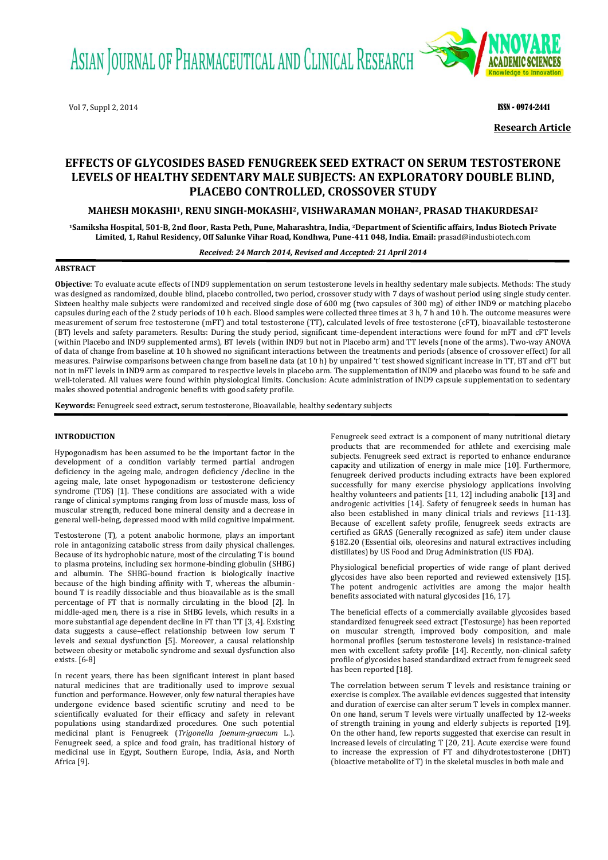ASIAN JOURNAL OF PHARMACEUTICAL AND CLINICAL RESEARCH

Vol 7, Suppl 2, 2014 **ISSN - 0974-2441 ISSN - 0974-2441** 



**Research Article**

# **EFFECTS OF GLYCOSIDES BASED FENUGREEK SEED EXTRACT ON SERUM TESTOSTERONE LEVELS OF HEALTHY SEDENTARY MALE SUBJECTS: AN EXPLORATORY DOUBLE BLIND, PLACEBO CONTROLLED, CROSSOVER STUDY**

# **MAHESH MOKASHI1, RENU SINGH-MOKASHI2, VISHWARAMAN MOHAN2, PRASAD THAKURDESAI<sup>2</sup>**

**<sup>1</sup>Samiksha Hospital, 501-B, 2nd floor, Rasta Peth, Pune, Maharashtra, India, 2Department of Scientific affairs, Indus Biotech Private Limited, 1, Rahul Residency, Off Salunke Vihar Road, Kondhwa, Pune-411 048, India. Email:** [prasad@indusbiotech.com](mailto:prasad@indusbiotech.com)

*Received: 24 March 2014, Revised and Accepted: 21 April 2014*

# **ABSTRACT**

**Objective**: To evaluate acute effects of IND9 supplementation on serum testosterone levels in healthy sedentary male subjects. Methods: The study was designed as randomized, double blind, placebo controlled, two period, crossover study with 7 days of washout period using single study center. Sixteen healthy male subjects were randomized and received single dose of 600 mg (two capsules of 300 mg) of either IND9 or matching placebo capsules during each of the 2 study periods of 10 h each. Blood samples were collected three times at 3 h, 7 h and 10 h. The outcome measures were measurement of serum free testosterone (mFT) and total testosterone (TT), calculated levels of free testosterone (cFT), bioavailable testosterone (BT) levels and safety parameters. Results: During the study period, significant time-dependent interactions were found for mFT and cFT levels (within Placebo and IND9 supplemented arms), BT levels (within IND9 but not in Placebo arm) and TT levels (none of the arms). Two-way ANOVA of data of change from baseline at 10 h showed no significant interactions between the treatments and periods (absence of crossover effect) for all measures. Pairwise comparisons between change from baseline data (at 10 h) by unpaired 't' test showed significant increase in TT, BT and cFT but not in mFT levels in IND9 arm as compared to respective levels in placebo arm. The supplementation of IND9 and placebo was found to be safe and well-tolerated. All values were found within physiological limits. Conclusion: Acute administration of IND9 capsule supplementation to sedentary males showed potential androgenic benefits with good safety profile.

**Keywords:** Fenugreek seed extract, serum testosterone, Bioavailable, healthy sedentary subjects

## **INTRODUCTION**

Hypogonadism has been assumed to be the important factor in the development of a condition variably termed partial androgen deficiency in the ageing male, androgen deficiency /decline in the ageing male, late onset hypogonadism or testosterone deficiency syndrome (TDS) [\[1\]](#page-3-0). These conditions are associated with a wide range of clinical symptoms ranging from loss of muscle mass, loss of muscular strength, reduced bone mineral density and a decrease in general well-being, depressed mood with mild cognitive impairment.

Testosterone (T), a potent anabolic hormone, plays an important role in antagonizing catabolic stress from daily physical challenges. Because of its hydrophobic nature, most of the circulating T is bound to plasma proteins, including sex hormone-binding globulin (SHBG) and albumin. The SHBG-bound fraction is biologically inactive because of the high binding affinity with T, whereas the albuminbound T is readily dissociable and thus bioavailable as is the small percentage of FT that is normally circulating in the blood [\[2\]](#page-3-1). In middle-aged men, there is a rise in SHBG levels, which results in a more substantial age dependent decline in FT than TT [\[3,](#page-3-2) [4\]](#page-3-3). Existing data suggests a cause–effect relationship between low serum T levels and sexual dysfunction [\[5\]](#page-3-4). Moreover, a causal relationship between obesity or metabolic syndrome and sexual dysfunction also exists. [\[6-8\]](#page-3-5)

In recent years, there has been significant interest in plant based natural medicines that are traditionally used to improve sexual function and performance. However, only few natural therapies have undergone evidence based scientific scrutiny and need to be scientifically evaluated for their efficacy and safety in relevant populations using standardized procedures. One such potential medicinal plant is Fenugreek (*Trigonella foenum*‐*graecum* L.). Fenugreek seed, a spice and food grain, has traditional history of medicinal use in Egypt, Southern Europe, India, Asia, and North Africa [\[9\]](#page-3-6).

Fenugreek seed extract is a component of many nutritional dietary products that are recommended for athlete and exercising male subjects. Fenugreek seed extract is reported to enhance endurance capacity and utilization of energy in male mice [\[10\]](#page-3-7). Furthermore, fenugreek derived products including extracts have been explored successfully for many exercise physiology applications involving healthy volunteers and patients [\[11,](#page-3-8) [12\]](#page-3-9) including anabolic [\[13\]](#page-3-10) and androgenic activities [\[14\]](#page-3-11). Safety of fenugreek seeds in human has also been established in many clinical trials and reviews [\[11-13\]](#page-3-8). Because of excellent safety profile, fenugreek seeds extracts are certified as GRAS (Generally recognized as safe) item under clause §182.20 (Essential oils, oleoresins and natural extractives including distillates) by US Food and Drug Administration (US FDA).

Physiological beneficial properties of wide range of plant derived glycosides have also been reported and reviewed extensively [\[15\]](#page-3-12). The potent androgenic activities are among the major health benefits associated with natural glycosides [\[16,](#page-3-13) [17\]](#page-3-14).

The beneficial effects of a commercially available glycosides based standardized fenugreek seed extract (Testosurge) has been reported on muscular strength, improved body composition, and male hormonal profiles (serum testosterone levels) in resistance-trained men with excellent safety profile [\[14\]](#page-3-11). Recently, non-clinical safety profile of glycosides based standardized extract from fenugreek seed has been reported [\[18\]](#page-4-0).

The correlation between serum T levels and resistance training or exercise is complex. The available evidences suggested that intensity and duration of exercise can alter serum T levels in complex manner. On one hand, serum T levels were virtually unaffected by 12-weeks of strength training in young and elderly subjects is reported [\[19\]](#page-4-1). On the other hand, few reports suggested that exercise can result in increased levels of circulating T [\[20,](#page-4-2) [21\]](#page-4-3). Acute exercise were found to increase the expression of FT and dihydrotestosterone (DHT) (bioactive metabolite of T) in the skeletal muscles in both male and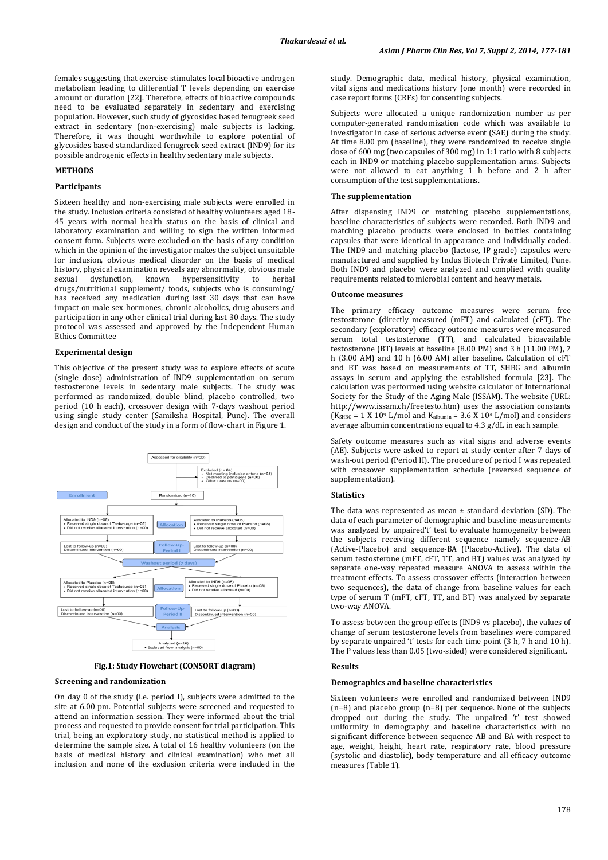females suggesting that exercise stimulates local bioactive androgen metabolism leading to differential T levels depending on exercise amount or duration [\[22\]](#page-4-4). Therefore, effects of bioactive compounds need to be evaluated separately in sedentary and exercising population. However, such study of glycosides based fenugreek seed extract in sedentary (non-exercising) male subjects is lacking. Therefore, it was thought worthwhile to explore potential of glycosides based standardized fenugreek seed extract (IND9) for its possible androgenic effects in healthy sedentary male subjects.

## **METHODS**

#### **Participants**

Sixteen healthy and non-exercising male subjects were enrolled in the study. Inclusion criteria consisted of healthy volunteers aged 18- 45 years with normal health status on the basis of clinical and laboratory examination and willing to sign the written informed consent form. Subjects were excluded on the basis of any condition which in the opinion of the investigator makes the subject unsuitable for inclusion, obvious medical disorder on the basis of medical history, physical examination reveals any abnormality, obvious male sexual dysfunction, known hypersensitivity to herbal drugs/nutritional supplement/ foods, subjects who is consuming/ has received any medication during last 30 days that can have impact on male sex hormones, chronic alcoholics, drug abusers and participation in any other clinical trial during last 30 days. The study protocol was assessed and approved by the Independent Human Ethics Committee

## **Experimental design**

This objective of the present study was to explore effects of acute (single dose) administration of IND9 supplementation on serum testosterone levels in sedentary male subjects. The study was performed as randomized, double blind, placebo controlled, two period (10 h each), crossover design with 7-days washout period using single study center (Samiksha Hospital, Pune). The overall design and conduct of the study in a form of flow-chart in Figure 1.



**Fig.1: Study Flowchart (CONSORT diagram)**

#### **Screening and randomization**

On day 0 of the study (i.e. period I), subjects were admitted to the site at 6.00 pm. Potential subjects were screened and requested to attend an information session. They were informed about the trial process and requested to provide consent for trial participation. This trial, being an exploratory study, no statistical method is applied to determine the sample size. A total of 16 healthy volunteers (on the basis of medical history and clinical examination) who met all inclusion and none of the exclusion criteria were included in the study. Demographic data, medical history, physical examination, vital signs and medications history (one month) were recorded in case report forms (CRFs) for consenting subjects.

Subjects were allocated a unique randomization number as per computer-generated randomization code which was available to investigator in case of serious adverse event (SAE) during the study. At time 8.00 pm (baseline), they were randomized to receive single dose of 600 mg (two capsules of 300 mg) in 1:1 ratio with 8 subjects each in IND9 or matching placebo supplementation arms. Subjects were not allowed to eat anything 1 h before and 2 h after consumption of the test supplementations.

#### **The supplementation**

After dispensing IND9 or matching placebo supplementations, baseline characteristics of subjects were recorded. Both IND9 and matching placebo products were enclosed in bottles containing capsules that were identical in appearance and individually coded. The IND9 and matching placebo (lactose, IP grade) capsules were manufactured and supplied by Indus Biotech Private Limited, Pune. Both IND9 and placebo were analyzed and complied with quality requirements related to microbial content and heavy metals.

#### **Outcome measures**

The primary efficacy outcome measures were serum free testosterone (directly measured (mFT) and calculated (cFT). The secondary (exploratory) efficacy outcome measures were measured serum total testosterone (TT), and calculated bioavailable testosterone (BT) levels at baseline (8.00 PM) and 3 h (11.00 PM), 7 h (3.00 AM) and 10 h (6.00 AM) after baseline. Calculation of cFT and BT was based on measurements of TT, SHBG and albumin assays in serum and applying the established formula [\[23\]](#page-4-5). The calculation was performed using website calculator of International Society for the Study of the Aging Male (ISSAM). The website (URL: http://www.issam.ch/freetesto.htm) uses the association constants  $(K<sub>SHBG</sub> = 1 X 10<sup>9</sup> L/mol$  and  $K<sub>albumin</sub> = 3.6 X 10<sup>4</sup> L/mol$  and considers average albumin concentrations equal to 4.3 g/dL in each sample.

Safety outcome measures such as vital signs and adverse events (AE). Subjects were asked to report at study center after 7 days of wash-out period (Period II). The procedure of period I was repeated with crossover supplementation schedule (reversed sequence of supplementation).

#### **Statistics**

The data was represented as mean ± standard deviation (SD). The data of each parameter of demographic and baseline measurements was analyzed by unpaired't' test to evaluate homogeneity between the subjects receiving different sequence namely sequence-AB (Active-Placebo) and sequence-BA (Placebo-Active). The data of serum testosterone (mFT, cFT, TT, and BT) values was analyzed by separate one-way repeated measure ANOVA to assess within the treatment effects. To assess crossover effects (interaction between two sequences), the data of change from baseline values for each type of serum T (mFT, cFT, TT, and BT) was analyzed by separate two-way ANOVA.

To assess between the group effects (IND9 vs placebo), the values of change of serum testosterone levels from baselines were compared by separate unpaired 't' tests for each time point (3 h, 7 h and 10 h). The P values less than 0.05 (two-sided) were considered significant.

## **Results**

#### **Demographics and baseline characteristics**

Sixteen volunteers were enrolled and randomized between IND9 (n=8) and placebo group (n=8) per sequence. None of the subjects dropped out during the study. The unpaired 't' test showed uniformity in demography and baseline characteristics with no significant difference between sequence AB and BA with respect to age, weight, height, heart rate, respiratory rate, blood pressure (systolic and diastolic), body temperature and all efficacy outcome measures (Table 1).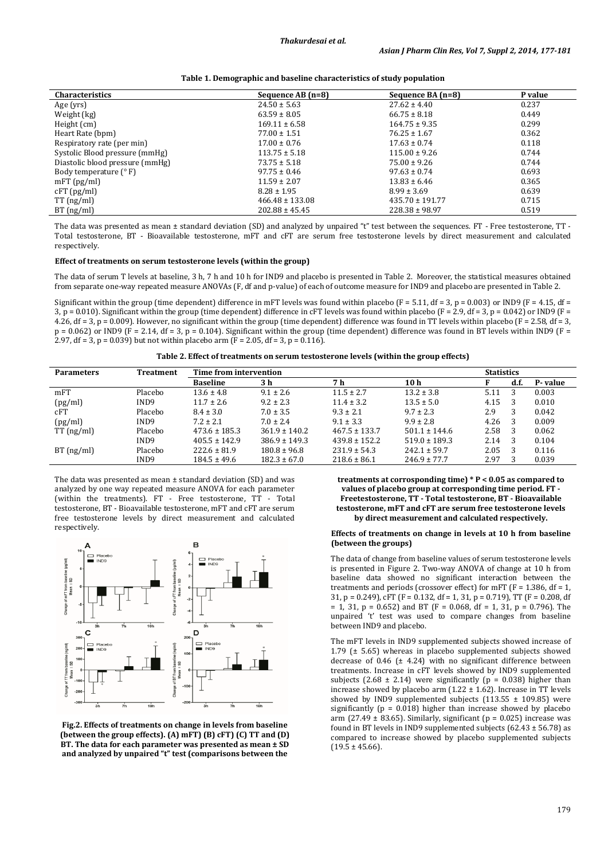| <b>Characteristics</b>          | Sequence AB (n=8)   | Sequence BA (n=8)   | P value |  |
|---------------------------------|---------------------|---------------------|---------|--|
| Age (yrs)                       | $24.50 \pm 5.63$    | $27.62 \pm 4.40$    | 0.237   |  |
| Weight (kg)                     | $63.59 \pm 8.05$    | $66.75 \pm 8.18$    | 0.449   |  |
| Height (cm)                     | $169.11 \pm 6.58$   | $164.75 \pm 9.35$   | 0.299   |  |
| Heart Rate (bpm)                | $77.00 \pm 1.51$    | $76.25 \pm 1.67$    | 0.362   |  |
| Respiratory rate (per min)      | $17.00 \pm 0.76$    | $17.63 \pm 0.74$    | 0.118   |  |
| Systolic Blood pressure (mmHg)  | $113.75 \pm 5.18$   | $115.00 \pm 9.26$   | 0.744   |  |
| Diastolic blood pressure (mmHg) | $73.75 \pm 5.18$    | $75.00 \pm 9.26$    | 0.744   |  |
| Body temperature $(° F)$        | $97.75 \pm 0.46$    | $97.63 \pm 0.74$    | 0.693   |  |
| $mFT$ (pg/ml)                   | $11.59 \pm 2.07$    | $13.83 \pm 6.46$    | 0.365   |  |
| $cFT$ (pg/ml)                   | $8.28 \pm 1.95$     | $8.99 \pm 3.69$     | 0.639   |  |
| $TT$ (ng/ml)                    | $466.48 \pm 133.08$ | $435.70 \pm 191.77$ | 0.715   |  |
| BT(ng/ml)                       | $202.88 \pm 45.45$  | $228.38 \pm 98.97$  | 0.519   |  |

The data was presented as mean ± standard deviation (SD) and analyzed by unpaired "t" test between the sequences. FT - Free testosterone, TT -Total testosterone, BT - Bioavailable testosterone, mFT and cFT are serum free testosterone levels by direct measurement and calculated respectively.

## **Effect of treatments on serum testosterone levels (within the group)**

The data of serum T levels at baseline, 3 h, 7 h and 10 h for IND9 and placebo is presented in Table 2. Moreover, the statistical measures obtained from separate one-way repeated measure ANOVAs (F, df and p-value) of each of outcome measure for IND9 and placebo are presented in Table 2.

Significant within the group (time dependent) difference in mFT levels was found within placebo ( $F = 5.11$ ,  $df = 3$ ,  $p = 0.003$ ) or IND9 ( $F = 4.15$ ,  $df = 1.15$ 3, p = 0.010). Significant within the group (time dependent) difference in cFT levels was found within placebo (F = 2.9, df = 3, p = 0.042) or IND9 (F = 4.26, df = 3, p = 0.009). However, no significant within the group (time dependent) difference was found in TT levels within placebo (F = 2.58, df = 3,  $p = 0.062$ ) or IND9 (F = 2.14, df = 3,  $p = 0.104$ ). Significant within the group (time dependent) difference was found in BT levels within IND9 (F = 2.97, df = 3, p = 0.039) but not within placebo arm ( $F = 2.05$ , df = 3, p = 0.116).

**Table 2. Effect of treatments on serum testosterone levels (within the group effects)**

| <b>Parameters</b> | Treatment        | Time from intervention |                   |                   |                   |      | <b>Statistics</b> |         |
|-------------------|------------------|------------------------|-------------------|-------------------|-------------------|------|-------------------|---------|
|                   |                  | <b>Baseline</b>        | 3 h               | 7 h               | 10 <sub>h</sub>   |      | d.f.              | P-value |
| mFT               | Placebo          | $13.6 \pm 4.8$         | $9.1 \pm 2.6$     | $11.5 \pm 2.7$    | $13.2 \pm 3.8$    | 5.11 | 3                 | 0.003   |
| (pg/ml)           | IND <sub>9</sub> | $11.7 \pm 2.6$         | $9.2 \pm 2.3$     | $11.4 \pm 3.2$    | $13.5 \pm 5.0$    | 4.15 | -3                | 0.010   |
| cFT               | Placebo          | $8.4 \pm 3.0$          | $7.0 \pm 3.5$     | $9.3 \pm 2.1$     | $9.7 \pm 2.3$     | 2.9  | 3                 | 0.042   |
| (pg/ml)           | IND9             | $7.2 \pm 2.1$          | $7.0 \pm 2.4$     | $9.1 \pm 3.3$     | $9.9 \pm 2.8$     | 4.26 | - 3               | 0.009   |
| $TT$ (ng/ml)      | Placebo          | $473.6 \pm 185.3$      | $361.9 \pm 140.2$ | $467.5 \pm 133.7$ | $501.1 \pm 144.6$ | 2.58 | - 3               | 0.062   |
|                   | IND9             | $405.5 \pm 142.9$      | $386.9 \pm 149.3$ | $439.8 \pm 152.2$ | $519.0 \pm 189.3$ | 2.14 | - 3               | 0.104   |
| BT(ng/ml)         | Placebo          | $222.6 \pm 81.9$       | $180.8 \pm 96.8$  | $231.9 \pm 54.3$  | $242.1 \pm 59.7$  | 2.05 | -3                | 0.116   |
|                   | IND <sub>9</sub> | $184.5 \pm 49.6$       | $182.3 \pm 67.0$  | $218.6 \pm 86.1$  | $246.9 \pm 77.7$  | 2.97 |                   | 0.039   |

The data was presented as mean ± standard deviation (SD) and was analyzed by one way repeated measure ANOVA for each parameter (within the treatments). FT - Free testosterone, TT - Total testosterone, BT - Bioavailable testosterone, mFT and cFT are serum free testosterone levels by direct measurement and calculated respectively.



**Fig.2. Effects of treatments on change in levels from baseline (between the group effects). (A) mFT) (B) cFT) (C) TT and (D) BT. The data for each parameter was presented as mean ± SD and analyzed by unpaired "t" test (comparisons between the** 

**treatments at corrosponding time) \* P < 0.05 as compared to values of placebo group at corresponding time period. FT - Freetestosterone, TT - Total testosterone, BT - Bioavailable testosterone, mFT and cFT are serum free testosterone levels by direct measurement and calculated respectively.**

## **Effects of treatments on change in levels at 10 h from baseline (between the groups)**

The data of change from baseline values of serum testosterone levels is presented in Figure 2. Two-way ANOVA of change at 10 h from baseline data showed no significant interaction between the treatments and periods (crossover effect) for mFT (F = 1.386, df = 1, 31, p = 0.249), cFT (F = 0.132, df = 1, 31, p = 0.719), TT (F = 0.208, df  $= 1, 31, p = 0.652$  and BT (F = 0.068, df = 1, 31, p = 0.796). The unpaired 't' test was used to compare changes from baseline between IND9 and placebo.

The mFT levels in IND9 supplemented subjects showed increase of 1.79 (± 5.65) whereas in placebo supplemented subjects showed decrease of 0.46 (± 4.24) with no significant difference between treatments. Increase in cFT levels showed by IND9 supplemented subjects (2.68  $\pm$  2.14) were significantly (p = 0.038) higher than increase showed by placebo arm  $(1.22 \pm 1.62)$ . Increase in TT levels showed by IND9 supplemented subjects (113.55  $\pm$  109.85) were significantly ( $p = 0.018$ ) higher than increase showed by placebo arm (27.49  $\pm$  83.65). Similarly, significant (p = 0.025) increase was found in BT levels in IND9 supplemented subjects (62.43  $\pm$  56.78) as compared to increase showed by placebo supplemented subjects  $(19.5 \pm 45.66)$ .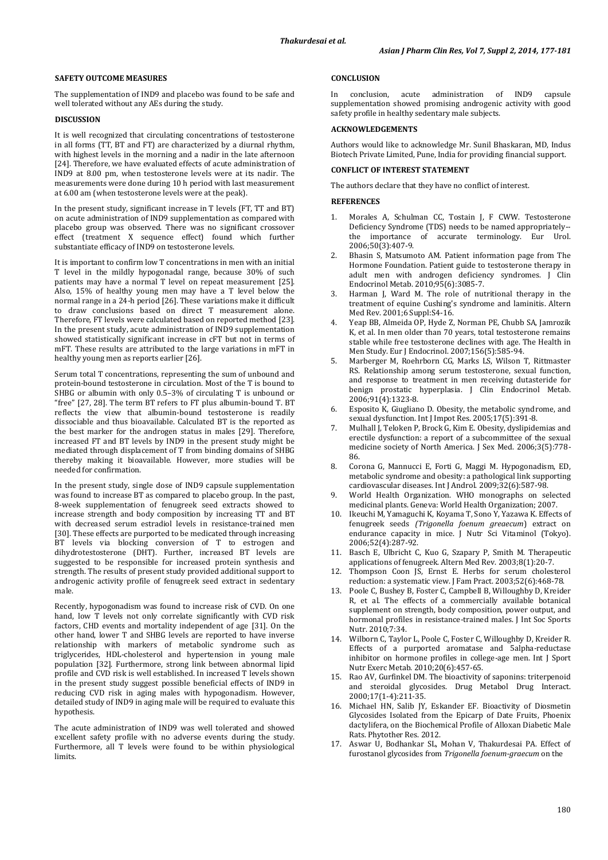# **SAFETY OUTCOME MEASURES**

The supplementation of IND9 and placebo was found to be safe and well tolerated without any AEs during the study.

## **DISCUSSION**

It is well recognized that circulating concentrations of testosterone in all forms (TT, BT and FT) are characterized by a diurnal rhythm, with highest levels in the morning and a nadir in the late afternoon [\[24\]](#page-4-6). Therefore, we have evaluated effects of acute administration of IND9 at 8.00 pm, when testosterone levels were at its nadir. The measurements were done during 10 h period with last measurement at 6.00 am (when testosterone levels were at the peak).

In the present study, significant increase in T levels (FT, TT and BT) on acute administration of IND9 supplementation as compared with placebo group was observed. There was no significant crossover effect (treatment X sequence effect) found which further substantiate efficacy of IND9 on testosterone levels.

It is important to confirm low T concentrations in men with an initial T level in the mildly hypogonadal range, because 30% of such patients may have a normal T level on repeat measurement [\[25\]](#page-4-7). Also, 15% of healthy young men may have a T level below the normal range in a 24-h period [\[26\]](#page-4-8). These variations make it difficult to draw conclusions based on direct T measurement alone. Therefore, FT levels were calculated based on reported method [\[23\]](#page-4-5). In the present study, acute administration of IND9 supplementation showed statistically significant increase in cFT but not in terms of mFT. These results are attributed to the large variations in mFT in healthy young men as reports earlier [\[26\]](#page-4-8).

Serum total T concentrations, representing the sum of unbound and protein-bound testosterone in circulation. Most of the T is bound to SHBG or albumin with only 0.5–3% of circulating T is unbound or "free" [\[27,](#page-4-9) [28\]](#page-4-10). The term BT refers to FT plus albumin-bound T. BT reflects the view that albumin-bound testosterone is readily dissociable and thus bioavailable. Calculated BT is the reported as the best marker for the androgen status in males [\[29\]](#page-4-11). Therefore, increased FT and BT levels by IND9 in the present study might be mediated through displacement of T from binding domains of SHBG thereby making it bioavailable. However, more studies will be needed for confirmation.

In the present study, single dose of IND9 capsule supplementation was found to increase BT as compared to placebo group. In the past, 8-week supplementation of fenugreek seed extracts showed to increase strength and body composition by increasing TT and BT with decreased serum estradiol levels in resistance-trained men [\[30\]](#page-4-12). These effects are purported to be medicated through increasing BT levels via blocking conversion of T to estrogen and dihydrotestosterone (DHT). Further, increased BT levels are suggested to be responsible for increased protein synthesis and strength. The results of present study provided additional support to androgenic activity profile of fenugreek seed extract in sedentary male.

Recently, hypogonadism was found to increase risk of CVD. On one hand, low T levels not only correlate significantly with CVD risk factors, CHD events and mortality independent of age [\[31\]](#page-4-13). On the other hand, lower T and SHBG levels are reported to have inverse relationship with markers of metabolic syndrome such as triglycerides, HDL-cholesterol and hypertension in young male population [\[32\]](#page-4-14). Furthermore, strong link between abnormal lipid profile and CVD risk is well established. In increased T levels shown in the present study suggest possible beneficial effects of IND9 in reducing CVD risk in aging males with hypogonadism. However, detailed study of IND9 in aging male will be required to evaluate this hypothesis.

The acute administration of IND9 was well tolerated and showed excellent safety profile with no adverse events during the study. Furthermore, all T levels were found to be within physiological limits.

## **CONCLUSION**

conclusion, acute administration of IND9 capsule supplementation showed promising androgenic activity with good safety profile in healthy sedentary male subjects.

#### **ACKNOWLEDGEMENTS**

Authors would like to acknowledge Mr. Sunil Bhaskaran, MD, Indus Biotech Private Limited, Pune, India for providing financial support.

## **CONFLICT OF INTEREST STATEMENT**

The authors declare that they have no conflict of interest.

# **REFERENCES**

- <span id="page-3-0"></span>1. Morales A, Schulman CC, Tostain J, F CWW. Testosterone Deficiency Syndrome (TDS) needs to be named appropriately- the importance of accurate terminology. Eur Urol. 2006;50(3):407-9.
- <span id="page-3-1"></span>2. Bhasin S, Matsumoto AM. Patient information page from The Hormone Foundation. Patient guide to testosterone therapy in adult men with androgen deficiency syndromes. J Clin Endocrinol Metab. 2010;95(6):3085-7.
- <span id="page-3-2"></span>3. Harman J, Ward M. The role of nutritional therapy in the treatment of equine Cushing's syndrome and laminitis. Altern Med Rev. 2001;6 Suppl:S4-16.
- <span id="page-3-3"></span>4. Yeap BB, Almeida OP, Hyde Z, Norman PE, Chubb SA, Jamrozik K, et al. In men older than 70 years, total testosterone remains stable while free testosterone declines with age. The Health in Men Study. Eur J Endocrinol. 2007;156(5):585-94.
- <span id="page-3-4"></span>5. Marberger M, Roehrborn CG, Marks LS, Wilson T, Rittmaster RS. Relationship among serum testosterone, sexual function, and response to treatment in men receiving dutasteride for benign prostatic hyperplasia. J Clin Endocrinol Metab. 2006;91(4):1323-8.
- <span id="page-3-5"></span>6. Esposito K, Giugliano D. Obesity, the metabolic syndrome, and sexual dysfunction. Int J Impot Res. 2005;17(5):391-8.
- Mulhall J, Teloken P, Brock G, Kim E. Obesity, dyslipidemias and erectile dysfunction: a report of a subcommittee of the sexual medicine society of North America. J Sex Med. 2006;3(5):778- 86.
- 8. Corona G, Mannucci E, Forti G, Maggi M. Hypogonadism, ED, metabolic syndrome and obesity: a pathological link supporting cardiovascular diseases. Int J Androl. 2009;32(6):587-98.
- <span id="page-3-6"></span>9. World Health Organization. WHO monographs on selected medicinal plants. Geneva: World Health Organization; 2007.
- <span id="page-3-7"></span>10. Ikeuchi M, Yamaguchi K, Koyama T, Sono Y, Yazawa K. Effects of fenugreek seeds *(Trigonella foenum greaecum*) extract on endurance capacity in mice. J Nutr Sci Vitaminol (Tokyo). 2006;52(4):287-92.
- <span id="page-3-8"></span>11. Basch E, Ulbricht C, Kuo G, Szapary P, Smith M. Therapeutic applications of fenugreek. Altern Med Rev. 2003;8(1):20-7.
- <span id="page-3-9"></span>12. Thompson Coon JS, Ernst E. Herbs for serum cholesterol reduction: a systematic view. J Fam Pract. 2003;52(6):468-78.
- <span id="page-3-10"></span>13. Poole C, Bushey B, Foster C, Campbell B, Willoughby D, Kreider R, et al. The effects of a commercially available botanical supplement on strength, body composition, power output, and hormonal profiles in resistance-trained males. J Int Soc Sports Nutr. 2010;7:34.
- <span id="page-3-11"></span>14. Wilborn C, Taylor L, Poole C, Foster C, Willoughby D, Kreider R. Effects of a purported aromatase and 5alpha-reductase inhibitor on hormone profiles in college-age men. Int J Sport Nutr Exerc Metab. 2010;20(6):457-65.
- <span id="page-3-12"></span>15. Rao AV, Gurfinkel DM. The bioactivity of saponins: triterpenoid and steroidal glycosides. Drug Metabol Drug Interact. 2000;17(1-4):211-35.
- <span id="page-3-13"></span>16. Michael HN, Salib JY, Eskander EF. Bioactivity of Diosmetin Glycosides Isolated from the Epicarp of Date Fruits, Phoenix dactylifera, on the Biochemical Profile of Alloxan Diabetic Male Rats. Phytother Res. 2012.
- <span id="page-3-14"></span>17. Aswar U, Bodhankar SL, Mohan V, Thakurdesai PA. Effect of furostanol glycosides from *Trigonella foenum-graecum* on the